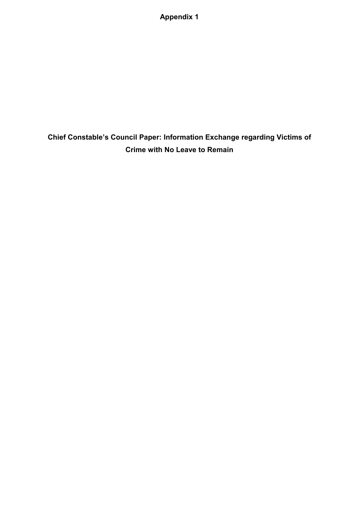**Appendix 1** 

**Chief Constable's Council Paper: Information Exchange regarding Victims of Crime with No Leave to Remain**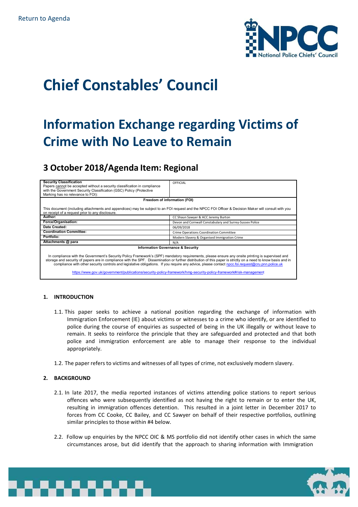

# **Chief Constables' Council**

## **Information Exchange regarding Victims of Crime with No Leave to Remain**

### **3 October 2018/Agenda Item: Regional**

| <b>Security Classification</b>                                                                                                                                | OFFICIAL                                                 |
|---------------------------------------------------------------------------------------------------------------------------------------------------------------|----------------------------------------------------------|
| Papers cannot be accepted without a security classification in compliance                                                                                     |                                                          |
| with the Government Security Classification (GSC) Policy (Protective                                                                                          |                                                          |
| Marking has no relevance to FOI):                                                                                                                             |                                                          |
| Freedom of information (FOI)                                                                                                                                  |                                                          |
| This document (including attachments and appendices) may be subject to an FOI request and the NPCC FOI Officer & Decision Maker will consult with you         |                                                          |
| on receipt of a request prior to any disclosure.                                                                                                              |                                                          |
| Author:                                                                                                                                                       | CC Shaun Sawyer & ACC Jeremy Burton                      |
| Force/Organisation:                                                                                                                                           | Devon and Cornwall Constabulary and Surrey-Sussex Police |
| Date Created:                                                                                                                                                 | 06/09/2018                                               |
| <b>Coordination Committee:</b>                                                                                                                                | Crime Operations Coordination Committee                  |
| Portfolio:                                                                                                                                                    | Modern Slavery & Organised Immigration Crime             |
| Attachments @ para                                                                                                                                            | N/A                                                      |
| <b>Information Governance &amp; Security</b>                                                                                                                  |                                                          |
|                                                                                                                                                               |                                                          |
| In compliance with the Government's Security Policy Framework's (SPF) mandatory requirements, please ensure any onsite printing is supervised and             |                                                          |
| storage and security of papers are in compliance with the SPF. Dissemination or further distribution of this paper is strictly on a need to know basis and in |                                                          |
| compliance with other security controls and legislative obligations. If you require any advice, please contact npcc.foi.request@cru.pnn.police.uk             |                                                          |
| https://www.gov.uk/government/publications/security-policy-framework/hmg-security-policy-framework#risk-management                                            |                                                          |
|                                                                                                                                                               |                                                          |

#### **1. INTRODUCTION**

- 1.1. This paper seeks to achieve a national position regarding the exchange of information with Immigration Enforcement (IE) about victims or witnesses to a crime who identify, or are identified to police during the course of enquiries as suspected of being in the UK illegally or without leave to remain. It seeks to reinforce the principle that they are safeguarded and protected and that both police and immigration enforcement are able to manage their response to the individual appropriately.
- 1.2. The paper refers to victims and witnesses of all types of crime, not exclusively modern slavery.

#### **2. BACKGROUND**

- 2.1. In late 2017, the media reported instances of victims attending police stations to report serious offences who were subsequently identified as not having the right to remain or to enter the UK, resulting in immigration offences detention. This resulted in a joint letter in December 2017 to forces from CC Cooke, CC Bailey, and CC Sawyer on behalf of their respective portfolios, outlining similar principles to those within #4 below.
- 2.2. Follow up enquiries by the NPCC OIC & MS portfolio did not identify other cases in which the same circumstances arose, but did identify that the approach to sharing information with Immigration



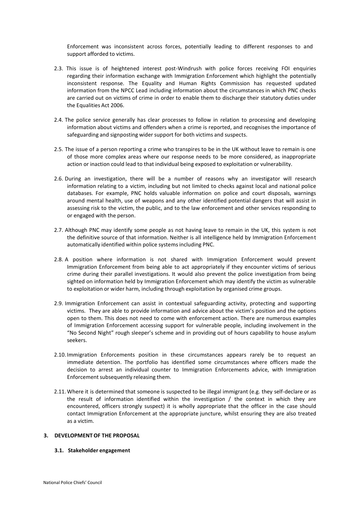Enforcement was inconsistent across forces, potentially leading to different responses to and support afforded to victims.

- 2.3. This issue is of heightened interest post-Windrush with police forces receiving FOI enquiries regarding their information exchange with Immigration Enforcement which highlight the potentially inconsistent response. The Equality and Human Rights Commission has requested updated information from the NPCC Lead including information about the circumstances in which PNC checks are carried out on victims of crime in order to enable them to discharge their statutory duties under the Equalities Act 2006.
- 2.4. The police service generally has clear processes to follow in relation to processing and developing information about victims and offenders when a crime is reported, and recognises the importance of safeguarding and signposting wider support for both victims and suspects.
- 2.5. The issue of a person reporting a crime who transpires to be in the UK without leave to remain is one of those more complex areas where our response needs to be more considered, as inappropriate action or inaction could lead to that individual being exposed to exploitation or vulnerability.
- 2.6. During an investigation, there will be a number of reasons why an investigator will research information relating to a victim, including but not limited to checks against local and national police databases. For example, PNC holds valuable information on police and court disposals, warnings around mental health, use of weapons and any other identified potential dangers that will assist in assessing risk to the victim, the public, and to the law enforcement and other services responding to or engaged with the person.
- 2.7. Although PNC may identify some people as not having leave to remain in the UK, this system is not the definitive source of that information. Neither is all intelligence held by Immigration Enforcemen t automatically identified within police systems including PNC.
- 2.8. A position where information is not shared with Immigration Enforcement would prevent Immigration Enforcement from being able to act appropriately if they encounter victims of serious crime during their parallel investigations. It would also prevent the police investigation from being sighted on information held by Immigration Enforcement which may identify the victim as vulnerable to exploitation or wider harm, including through exploitation by organised crime groups.
- 2.9. Immigration Enforcement can assist in contextual safeguarding activity, protecting and supporting victims. They are able to provide information and advice about the victim's position and the options open to them. This does not need to come with enforcement action. There are numerous examples of Immigration Enforcement accessing support for vulnerable people, including involvement in the "No Second Night" rough sleeper's scheme and in providing out of hours capability to house asylum seekers.
- 2.10. Immigration Enforcements position in these circumstances appears rarely be to request an immediate detention. The portfolio has identified some circumstances where officers made the decision to arrest an individual counter to Immigration Enforcements advice, with Immigration Enforcement subsequently releasing them.
- 2.11. Where it is determined that someone is suspected to be illegal immigrant (e.g. they self-declare or as the result of information identified within the investigation / the context in which they are encountered, officers strongly suspect) it is wholly appropriate that the officer in the case should contact Immigration Enforcement at the appropriate juncture, whilst ensuring they are also treated as a victim.

#### **3. DEVELOPMENT OF THE PROPOSAL**

**3.1. Stakeholder engagement**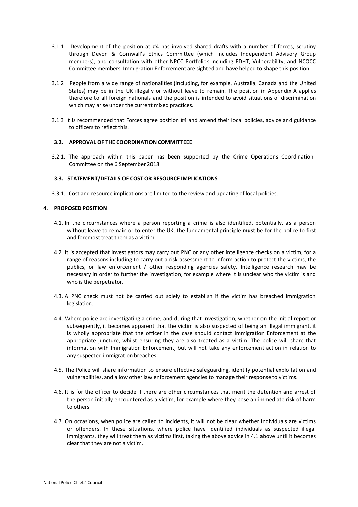- 3.1.1 Development of the position at #4 has involved shared drafts with a number of forces, scrutiny through Devon & Cornwall's Ethics Committee (which includes Independent Advisory Group members), and consultation with other NPCC Portfolios including EDHT, Vulnerability, and NCOCC Committee members. Immigration Enforcement are sighted and have helped to shape this position.
- 3.1.2 People from a wide range of nationalities (including, for example, Australia, Canada and the United States) may be in the UK illegally or without leave to remain. The position in Appendix A applies therefore to all foreign nationals and the position is intended to avoid situations of discrimination which may arise under the current mixed practices.
- 3.1.3 It is recommended that Forces agree position #4 and amend their local policies, advice and guidance to officers to reflect this.

#### **3.2. APPROVAL OF THE COORDINATION COMMITTEEE**

3.2.1. The approach within this paper has been supported by the Crime Operations Coordination Committee on the 6 September 2018.

#### **3.3. STATEMENT/DETAILS OF COST OR RESOURCE IMPLICATIONS**

3.3.1. Cost and resource implications are limited to the review and updating of local policies.

#### **4. PROPOSED POSITION**

- 4.1. In the circumstances where a person reporting a crime is also identified, potentially, as a person without leave to remain or to enter the UK, the fundamental principle **must** be for the police to first and foremost treat them as a victim.
- 4.2. It is accepted that investigators may carry out PNC or any other intelligence checks on a victim, for a range of reasons including to carry out a risk assessment to inform action to protect the victims, the publics, or law enforcement / other responding agencies safety. Intelligence research may be necessary in order to further the investigation, for example where it is unclear who the victim is and who is the perpetrator.
- 4.3. A PNC check must not be carried out solely to establish if the victim has breached immigration legislation.
- 4.4. Where police are investigating a crime, and during that investigation, whether on the initial report or subsequently, it becomes apparent that the victim is also suspected of being an illegal immigrant, it is wholly appropriate that the officer in the case should contact Immigration Enforcement at the appropriate juncture, whilst ensuring they are also treated as a victim. The police will share that information with Immigration Enforcement, but will not take any enforcement action in relation to any suspected immigration breaches.
- 4.5. The Police will share information to ensure effective safeguarding, identify potential exploitation and vulnerabilities, and allow other law enforcement agencies to manage their response to victims.
- 4.6. It is for the officer to decide if there are other circumstances that merit the detention and arrest of the person initially encountered as a victim, for example where they pose an immediate risk of harm to others.
- 4.7. On occasions, when police are called to incidents, it will not be clear whether individuals are victims or offenders. In these situations, where police have identified individuals as suspected illegal immigrants, they will treat them as victims first, taking the above advice in 4.1 above until it becomes clear that they are not a victim.